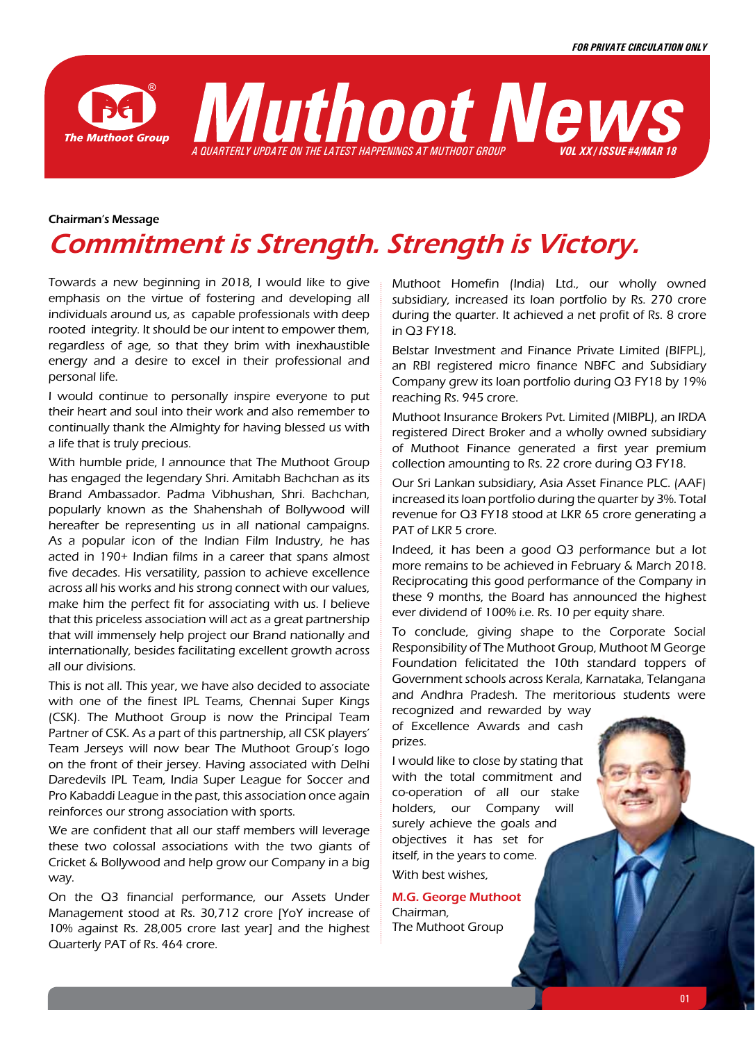

### Chairman's Message

# Commitment is Strength. Strength is Victory.

Towards a new beginning in 2018, I would like to give emphasis on the virtue of fostering and developing all individuals around us, as capable professionals with deep rooted integrity. It should be our intent to empower them, regardless of age, so that they brim with inexhaustible energy and a desire to excel in their professional and personal life.

I would continue to personally inspire everyone to put their heart and soul into their work and also remember to continually thank the Almighty for having blessed us with a life that is truly precious.

With humble pride, I announce that The Muthoot Group has engaged the legendary Shri. Amitabh Bachchan as its Brand Ambassador. Padma Vibhushan, Shri. Bachchan, popularly known as the Shahenshah of Bollywood will hereafter be representing us in all national campaigns. As a popular icon of the Indian Film Industry, he has acted in 190+ Indian films in a career that spans almost five decades. His versatility, passion to achieve excellence across all his works and his strong connect with our values, make him the perfect fit for associating with us. I believe that this priceless association will act as a great partnership that will immensely help project our Brand nationally and internationally, besides facilitating excellent growth across all our divisions.

This is not all. This year, we have also decided to associate with one of the finest IPL Teams, Chennai Super Kings (CSK). The Muthoot Group is now the Principal Team Partner of CSK. As a part of this partnership, all CSK players' Team Jerseys will now bear The Muthoot Group's logo on the front of their jersey. Having associated with Delhi Daredevils IPL Team, India Super League for Soccer and Pro Kabaddi League in the past, this association once again reinforces our strong association with sports.

We are confident that all our staff members will leverage these two colossal associations with the two giants of Cricket & Bollywood and help grow our Company in a big way.

On the Q3 financial performance, our Assets Under Management stood at Rs. 30,712 crore [YoY increase of 10% against Rs. 28,005 crore last year] and the highest Quarterly PAT of Rs. 464 crore.

Muthoot Homefin (India) Ltd., our wholly owned subsidiary, increased its loan portfolio by Rs. 270 crore during the quarter. It achieved a net profit of Rs. 8 crore in Q3 FY18.

Belstar Investment and Finance Private Limited (BIFPL), an RBI registered micro finance NBFC and Subsidiary Company grew its loan portfolio during Q3 FY18 by 19% reaching Rs. 945 crore.

Muthoot Insurance Brokers Pvt. Limited (MIBPL), an IRDA registered Direct Broker and a wholly owned subsidiary of Muthoot Finance generated a first year premium collection amounting to Rs. 22 crore during Q3 FY18.

Our Sri Lankan subsidiary, Asia Asset Finance PLC. (AAF) increased its loan portfolio during the quarter by 3%. Total revenue for Q3 FY18 stood at LKR 65 crore generating a PAT of LKR 5 crore.

Indeed, it has been a good Q3 performance but a lot more remains to be achieved in February & March 2018. Reciprocating this good performance of the Company in these 9 months, the Board has announced the highest ever dividend of 100% i.e. Rs. 10 per equity share.

To conclude, giving shape to the Corporate Social Responsibility of The Muthoot Group, Muthoot M George Foundation felicitated the 10th standard toppers of Government schools across Kerala, Karnataka, Telangana and Andhra Pradesh. The meritorious students were recognized and rewarded by way

of Excellence Awards and cash prizes.

I would like to close by stating that with the total commitment and co-operation of all our stake holders, our Company will surely achieve the goals and objectives it has set for itself, in the years to come. With best wishes,

M.G. George Muthoot Chairman, The Muthoot Group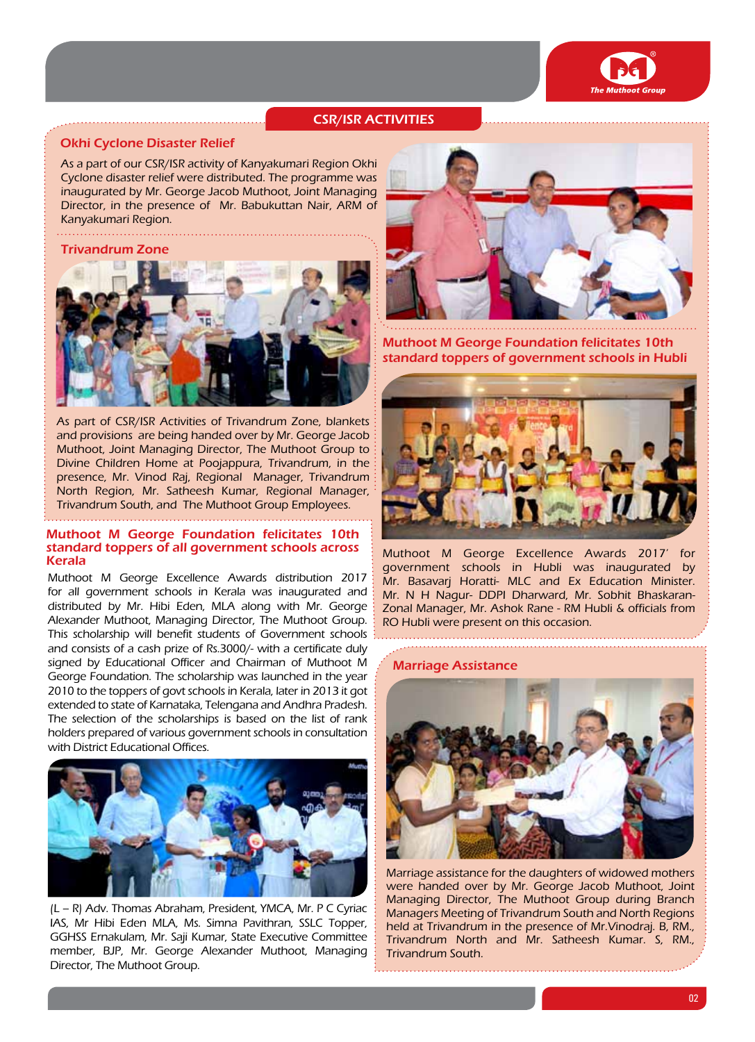

# CSR/ISR activities

### Okhi Cyclone Disaster Relief

As a part of our CSR/ISR activity of Kanyakumari Region Okhi Cyclone disaster relief were distributed. The programme was inaugurated by Mr. George Jacob Muthoot, Joint Managing Director, in the presence of Mr. Babukuttan Nair, ARM of Kanyakumari Region.

### Trivandrum Zone



As part of CSR/ISR Activities of Trivandrum Zone, blankets and provisions are being handed over by Mr. George Jacob Muthoot, Joint Managing Director, The Muthoot Group to Divine Children Home at Poojappura, Trivandrum, in the presence, Mr. Vinod Raj, Regional Manager, Trivandrum North Region, Mr. Satheesh Kumar, Regional Manager, Trivandrum South, and The Muthoot Group Employees.

### Muthoot M George Foundation felicitates 10th standard toppers of all government schools across Kerala

Muthoot M George Excellence Awards distribution 2017 for all government schools in Kerala was inaugurated and distributed by Mr. Hibi Eden, MLA along with Mr. George Alexander Muthoot, Managing Director, The Muthoot Group. This scholarship will benefit students of Government schools and consists of a cash prize of Rs.3000/- with a certificate duly signed by Educational Officer and Chairman of Muthoot M George Foundation. The scholarship was launched in the year 2010 to the toppers of govt schools in Kerala, later in 2013 it got extended to state of Karnataka, Telengana and Andhra Pradesh. The selection of the scholarships is based on the list of rank holders prepared of various government schools in consultation with District Educational Offices.



(L – R) Adv. Thomas Abraham, President, YMCA, Mr. P C Cyriac IAS, Mr Hibi Eden MLA, Ms. Simna Pavithran, SSLC Topper, GGHSS Ernakulam, Mr. Saji Kumar, State Executive Committee member, BJP, Mr. George Alexander Muthoot, Managing Director, The Muthoot Group.



Muthoot M George Foundation felicitates 10th standard toppers of government schools in Hubli



Muthoot M George Excellence Awards 2017' for government schools in Hubli was inaugurated by Mr. Basavarj Horatti- MLC and Ex Education Minister. Mr. N H Nagur- DDPI Dharward, Mr. Sobhit Bhaskaran-Zonal Manager, Mr. Ashok Rane - RM Hubli & officials from RO Hubli were present on this occasion.

#### Marriage Assistance



Marriage assistance for the daughters of widowed mothers were handed over by Mr. George Jacob Muthoot, Joint Managing Director, The Muthoot Group during Branch Managers Meeting of Trivandrum South and North Regions held at Trivandrum in the presence of Mr.Vinodraj. B, RM., Trivandrum North and Mr. Satheesh Kumar. S, RM., Trivandrum South.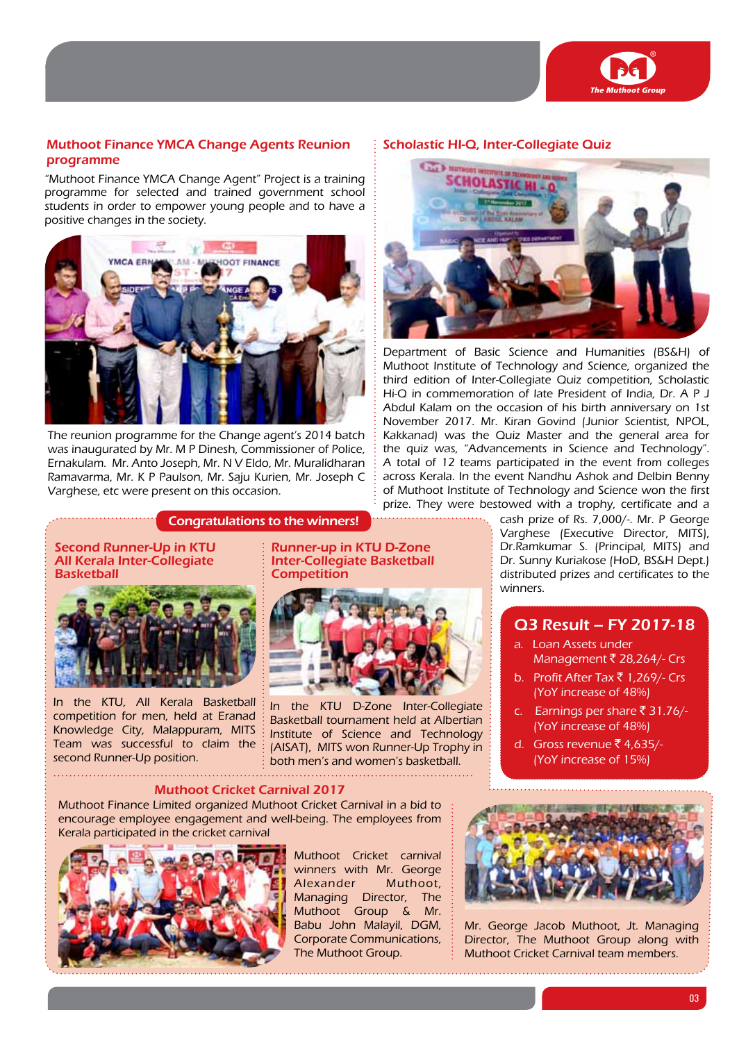

# Muthoot Finance YMCA Change Agents Reunion programme

"Muthoot Finance YMCA Change Agent" Project is a training programme for selected and trained government school students in order to empower young people and to have a positive changes in the society.



The reunion programme for the Change agent's 2014 batch was inaugurated by Mr. M P Dinesh, Commissioner of Police, Ernakulam. Mr. Anto Joseph, Mr. N V Eldo, Mr. Muralidharan Ramavarma, Mr. K P Paulson, Mr. Saju Kurien, Mr. Joseph C Varghese, etc were present on this occasion.

### Congratulations to the winners!

Second Runner-Up in KTU All Kerala Inter-Collegiate **Basketball** 



In the KTU, All Kerala Basketball competition for men, held at Eranad Knowledge City, Malappuram, MITS Team was successful to claim the second Runner-Up position.

Runner-up in KTU D-Zone Inter-Collegiate Basketball **Competition** 



In the KTU D-Zone Inter-Collegiate Basketball tournament held at Albertian Institute of Science and Technology (AISAT), MITS won Runner-Up Trophy in both men's and women's basketball.

#### Muthoot Cricket Carnival 2017

Muthoot Finance Limited organized Muthoot Cricket Carnival in a bid to encourage employee engagement and well-being. The employees from Kerala participated in the cricket carnival



Muthoot Cricket carnival winners with Mr. George Alexander Muthoot, Managing Director, The Muthoot Group & Mr. Babu John Malayil, DGM, Corporate Communications, The Muthoot Group.

### Scholastic HI-Q, Inter-Collegiate Quiz



Department of Basic Science and Humanities (BS&H) of Muthoot Institute of Technology and Science, organized the third edition of Inter-Collegiate Quiz competition, Scholastic Hi-Q in commemoration of late President of India, Dr. A P J Abdul Kalam on the occasion of his birth anniversary on 1st November 2017. Mr. Kiran Govind (Junior Scientist, NPOL, Kakkanad) was the Quiz Master and the general area for the quiz was, "Advancements in Science and Technology". A total of 12 teams participated in the event from colleges across Kerala. In the event Nandhu Ashok and Delbin Benny of Muthoot Institute of Technology and Science won the first prize. They were bestowed with a trophy, certificate and a

> cash prize of Rs. 7,000/-. Mr. P George Varghese (Executive Director, MITS), Dr.Ramkumar S. (Principal, MITS) and Dr. Sunny Kuriakose (HoD, BS&H Dept.) distributed prizes and certificates to the winners.

# Q3 Result – FY 2017-18

- a. Loan Assets under Management  $\bar{\bar{\xi}}$  28,264/- Crs
- b. Profit After Tax ₹ 1,269/- Crs (YoY increase of 48%)
- c. Earnings per share  $\overline{5}$  31.76/-(YoY increase of 48%)
- d. Gross revenue  $\bar{z}$  4,635/-(YoY increase of 15%)



Mr. George Jacob Muthoot, Jt. Managing Director, The Muthoot Group along with Muthoot Cricket Carnival team members.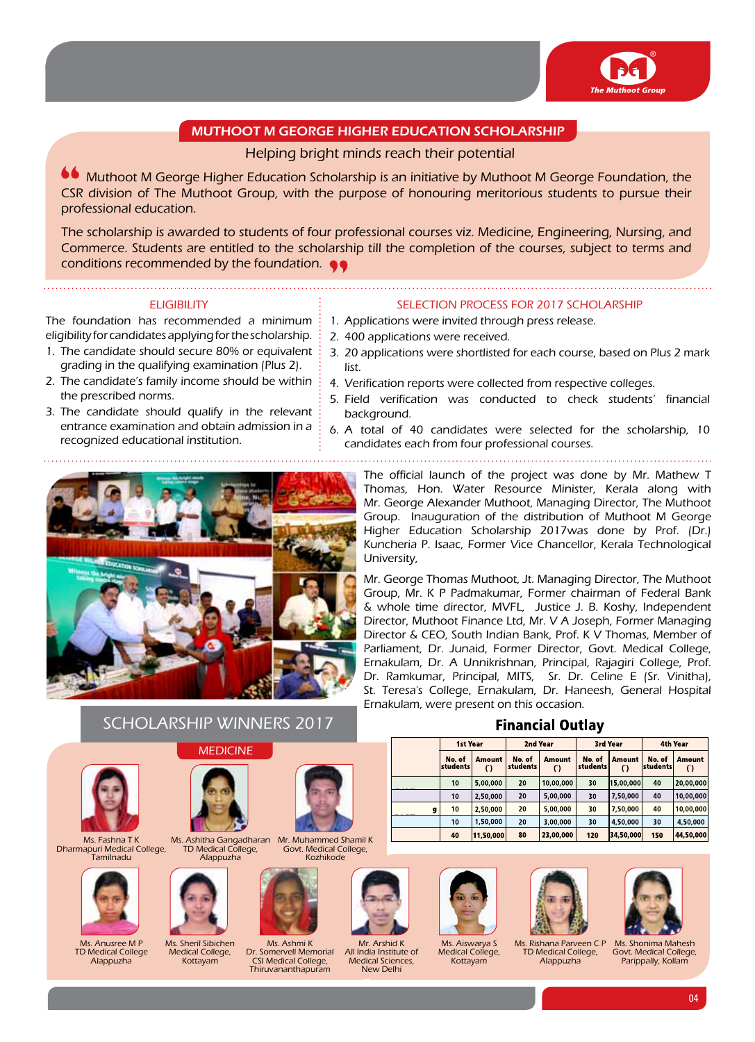

# Muthoot M George Higher Education Scholarship

# Helping bright minds reach their potential

**66** Muthoot M George Higher Education Scholarship is an initiative by Muthoot M George Foundation, the CSR division of The Muthoot Group, with the purpose of honouring meritorious students to pursue their professional education.

The scholarship is awarded to students of four professional courses viz. Medicine, Engineering, Nursing, and Commerce. Students are entitled to the scholarship till the completion of the courses, subject to terms and conditions recommended by the foundation.

### **ELIGIBILITY**

The foundation has recommended a minimum eligibility for candidates applying for the scholarship.

- 1. The candidate should secure 80% or equivalent grading in the qualifying examination (Plus 2).
- 2. The candidate's family income should be within the prescribed norms.
- 3. The candidate should qualify in the relevant entrance examination and obtain admission in a recognized educational institution.

### Selection Process for 2017 Scholarship

- 1. Applications were invited through press release.
- 2. 400 applications were received.
- 3. 20 applications were shortlisted for each course, based on Plus 2 mark list.
- 4. Verification reports were collected from respective colleges.
- 5. Field verification was conducted to check students' financial background.
- 6. A total of 40 candidates were selected for the scholarship, 10 candidates each from four professional courses.
	-



The official launch of the project was done by Mr. Mathew T Thomas, Hon. Water Resource Minister, Kerala along with Mr. George Alexander Muthoot, Managing Director, The Muthoot Group. Inauguration of the distribution of Muthoot M George Higher Education Scholarship 2017was done by Prof. (Dr.) Kuncheria P. Isaac, Former Vice Chancellor, Kerala Technological University,

Mr. George Thomas Muthoot, Jt. Managing Director, The Muthoot Group, Mr. K P Padmakumar, Former chairman of Federal Bank & whole time director, MVFL, Justice J. B. Koshy, Independent Director, Muthoot Finance Ltd, Mr. V A Joseph, Former Managing Director & CEO, South Indian Bank, Prof. K V Thomas, Member of Parliament, Dr. Junaid, Former Director, Govt. Medical College, Ernakulam, Dr. A Unnikrishnan, Principal, Rajagiri College, Prof. Dr. Ramkumar, Principal, MITS, Sr. Dr. Celine E (Sr. Vinitha), St. Teresa's College, Ernakulam, Dr. Haneesh, General Hospital Ernakulam, were present on this occasion.

**Financial Outlav** 

|   | <b>1st Year</b>    |                           | 2nd Year                  |               | 3rd Year           |                           | 4th Year           |                         |
|---|--------------------|---------------------------|---------------------------|---------------|--------------------|---------------------------|--------------------|-------------------------|
|   | No. of<br>students | <b>Amount</b><br>$\Gamma$ | No. of<br><b>students</b> | <b>Amount</b> | No. of<br>students | <b>Amount</b><br>$\Gamma$ | No. of<br>students | <b>Amount</b><br>$\cap$ |
|   | 10                 | 5,00,000                  | 20                        | 10,00,000     | 30                 | 15,00,000                 | 40                 | 20,00,000               |
|   | 10                 | 2,50,000                  | 20                        | 5,00,000      | 30                 | 7,50,000                  | 40                 | 10,00,000               |
| g | 10                 | 2,50,000                  | 20                        | 5,00,000      | 30                 | 7,50,000                  | 40                 | 10,00,000               |
|   | 10                 | 1,50,000                  | 20                        | 3.00.000      | 30                 | 4,50,000                  | 30                 | 4.50.000                |
|   | 40                 | 11,50,000                 | 80                        | 23,00,000     | 120                | 34.50.000                 | 150                | 44,50,000               |







Ms. Shonima Mahesh Govt. Medical College, Parippally, Kollam

| $T$ as head $T V$ | $Me$ Ashitles Consex |
|-------------------|----------------------|

Ms. Fashna T K Dharmapuri Medical College, **Tamilnadu** 



Ms. Anusree M P TD Medical College Alappuzha



**MEDICINE** 

Scholarship Winners 2017

Ms. Sheril Sibichen Medical College, Kottayam

Alappuzha



Ms. Ashmi K Dr. Somervell Memorial CSI Medical College, Thiruvananthapuram

Kozhikode

Mr. Arshid K<br>All India Institute of Medical Sciences, New Delhi

Ms. Aiswarya S Medical College. Kottayam

TD Medical College, Alappuzha

05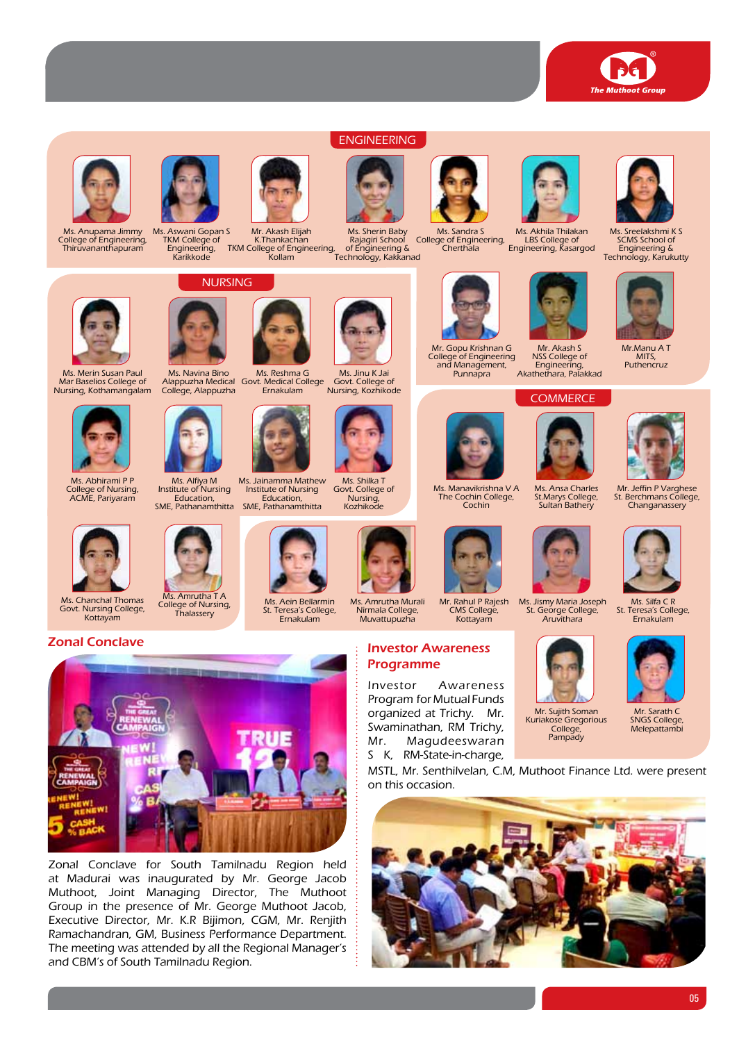



Ms. Anupama Jimmy College of Engineering, Thiruvananthapuram



Ms. Aswani Gopan S TKM College of Engineering, Karikkode





Mr. Akash Elijah K.Thankachan TKM College of Engineering, Kollam Technology, Kakkanad





Engineering

Ms. Sherin Baby Rajagiri School of Engineering &



Ms. Sandra S<br>College of Engineering,<br>Cherthala



Ms. Akhila Thilakan LBS College of Engineering, Kasargod



Mr. Gopu Krishnan G College of Engineering and Management, Punnapra Mr. Akash S NSS College of Engineering, Akathethara, Palakkad

# **COMMERCE**



Ms. Manavikrishna V A The Cochin College, Cochin







Ms. Ansa Charles

St.Marys College, Sultan Bathery



Mr.Manu A T Puthencruz

Ms. Sreelakshmi K S SCMS School of Engineering & Technology, Karukutty

Mr. Jeffin P Varghese St. Berchmans College, Changanassery



Ms. Abhirami P P College of Nursing, ACME, Pariyaram

Ms. Merin Susan Paul Mar Baselios College of Nursing, Kothamangalam

Ms. Chanchal Thomas Govt. Nursing College, Kottayam





Ms. Alfiya M Institute of Nursing Education, Ms. Jainamma Mathew



Institute of Nursing Education,

Ernakulam







Investor Awareness Program for Mutual Funds













Mr. Sujith Soman College, Pampady



Kuriakose Gregorious organized at Trichy. Mr. Swaminathan, RM Trichy, Mr. Magudeeswaran S K, RM-State-in-charge,

MSTL, Mr. Senthilvelan, C.M, Muthoot Finance Ltd. were present on this occasion.





Zonal Conclave for South Tamilnadu Region held at Madurai was inaugurated by Mr. George Jacob Muthoot, Joint Managing Director, The Muthoot Group in the presence of Mr. George Muthoot Jacob, Executive Director, Mr. K.R Bijimon, CGM, Mr. Renjith Ramachandran, GM, Business Performance Department. The meeting was attended by all the Regional Manager's and CBM's of South Tamilnadu Region.



Nursing

Ms. Navina Bino Alappuzha Medical College, Alappuzha Govt. Medical College Ernakulam





Ms. Amrutha T A College of Nursing, Thalassery







Ms. Shilka T Govt. College of **Nursing** 





Programme

Kottayam

Ms. Jismy Maria Joseph

Ms. Silfa C R St. Teresa's College, Ernakulam





05







Ms. Aein Bellarmin St. Teresa's College,